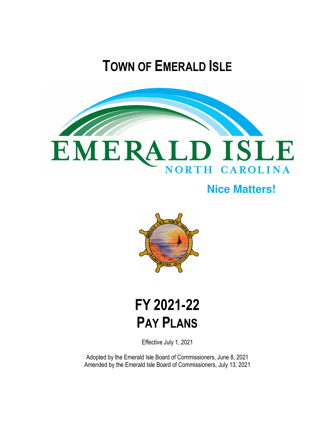# **TOWN OF EMERALD ISLE**



## **Nice Matters!**



# **FY 2021-22 PAY PLANS**

Effective July 1, 2021

Adopted by the Emerald Isle Board of Commissioners, June 8, 2021 Amended by the Emerald Isle Board of Commissioners, July 13, 2021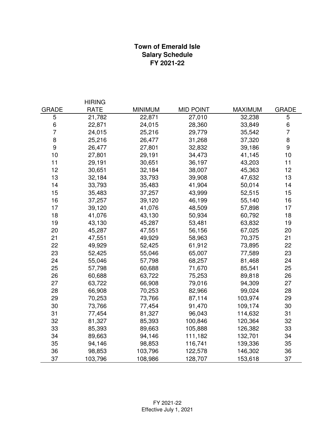### **Town of Emerald Isle Salary Schedule FY 2021-22**

|                  | <b>HIRING</b> |                |                  |                |                |
|------------------|---------------|----------------|------------------|----------------|----------------|
| <b>GRADE</b>     | <b>RATE</b>   | <b>MINIMUM</b> | <b>MID POINT</b> | <b>MAXIMUM</b> | <b>GRADE</b>   |
| 5                | 21,782        | 22,871         | 27,010           | 32,238         | 5              |
| 6                | 22,871        | 24,015         | 28,360           | 33,849         | $\,6$          |
| $\overline{7}$   | 24,015        | 25,216         | 29,779           | 35,542         | $\overline{7}$ |
| $\bf 8$          | 25,216        | 26,477         | 31,268           | 37,320         | 8              |
| $\boldsymbol{9}$ | 26,477        | 27,801         | 32,832           | 39,186         | 9              |
| 10               | 27,801        | 29,191         | 34,473           | 41,145         | 10             |
| 11               | 29,191        | 30,651         | 36,197           | 43,203         | 11             |
| 12               | 30,651        | 32,184         | 38,007           | 45,363         | 12             |
| 13               | 32,184        | 33,793         | 39,908           | 47,632         | 13             |
| 14               | 33,793        | 35,483         | 41,904           | 50,014         | 14             |
| 15               | 35,483        | 37,257         | 43,999           | 52,515         | 15             |
| 16               | 37,257        | 39,120         | 46,199           | 55,140         | 16             |
| 17               | 39,120        | 41,076         | 48,509           | 57,898         | 17             |
| 18               | 41,076        | 43,130         | 50,934           | 60,792         | 18             |
| 19               | 43,130        | 45,287         | 53,481           | 63,832         | 19             |
| 20               | 45,287        | 47,551         | 56,156           | 67,025         | 20             |
| 21               | 47,551        | 49,929         | 58,963           | 70,375         | 21             |
| 22               | 49,929        | 52,425         | 61,912           | 73,895         | 22             |
| 23               | 52,425        | 55,046         | 65,007           | 77,589         | 23             |
| 24               | 55,046        | 57,798         | 68,257           | 81,468         | 24             |
| 25               | 57,798        | 60,688         | 71,670           | 85,541         | 25             |
| 26               | 60,688        | 63,722         | 75,253           | 89,818         | 26             |
| 27               | 63,722        | 66,908         | 79,016           | 94,309         | 27             |
| 28               | 66,908        | 70,253         | 82,966           | 99,024         | 28             |
| 29               | 70,253        | 73,766         | 87,114           | 103,974        | 29             |
| 30               | 73,766        | 77,454         | 91,470           | 109,174        | 30             |
| 31               | 77,454        | 81,327         | 96,043           | 114,632        | 31             |
| 32               | 81,327        | 85,393         | 100,846          | 120,364        | 32             |
| 33               | 85,393        | 89,663         | 105,888          | 126,382        | 33             |
| 34               | 89,663        | 94,146         | 111,182          | 132,701        | 34             |
| 35               | 94,146        | 98,853         | 116,741          | 139,336        | 35             |
| 36               | 98,853        | 103,796        | 122,578          | 146,302        | 36             |
| 37               | 103,796       | 108,986        | 128,707          | 153,618        | 37             |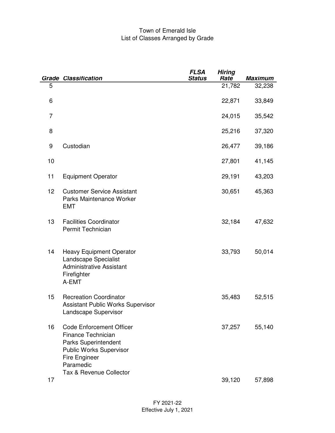#### Town of Emerald Isle List of Classes Arranged by Grade

|    | <b>Grade Classification</b>                                                                                                                                                            | <b>FLSA</b><br><b>Status</b> | <b>Hiring</b><br>Rate | <b>Maximum</b> |
|----|----------------------------------------------------------------------------------------------------------------------------------------------------------------------------------------|------------------------------|-----------------------|----------------|
| 5  |                                                                                                                                                                                        |                              | 21,782                | 32,238         |
| 6  |                                                                                                                                                                                        |                              | 22,871                | 33,849         |
| 7  |                                                                                                                                                                                        |                              | 24,015                | 35,542         |
| 8  |                                                                                                                                                                                        |                              | 25,216                | 37,320         |
| 9  | Custodian                                                                                                                                                                              |                              | 26,477                | 39,186         |
| 10 |                                                                                                                                                                                        |                              | 27,801                | 41,145         |
| 11 | <b>Equipment Operator</b>                                                                                                                                                              |                              | 29,191                | 43,203         |
| 12 | <b>Customer Service Assistant</b><br>Parks Maintenance Worker<br><b>EMT</b>                                                                                                            |                              | 30,651                | 45,363         |
| 13 | <b>Facilities Coordinator</b><br>Permit Technician                                                                                                                                     |                              | 32,184                | 47,632         |
| 14 | <b>Heavy Equipment Operator</b><br>Landscape Specialist<br><b>Administrative Assistant</b><br>Firefighter<br>A-EMT                                                                     |                              | 33,793                | 50,014         |
| 15 | <b>Recreation Coordinator</b><br>Assistant Public Works Supervisor<br>Landscape Supervisor                                                                                             |                              | 35,483                | 52,515         |
| 16 | <b>Code Enforcement Officer</b><br><b>Finance Technician</b><br>Parks Superintendent<br><b>Public Works Supervisor</b><br><b>Fire Engineer</b><br>Paramedic<br>Tax & Revenue Collector |                              | 37,257                | 55,140         |
| 17 |                                                                                                                                                                                        |                              | 39,120                | 57,898         |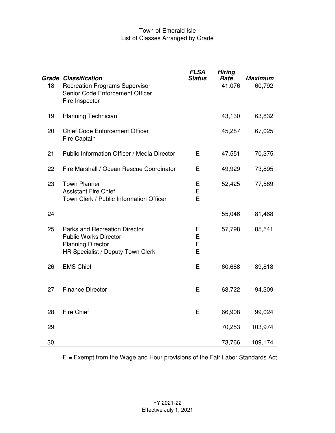#### Town of Emerald Isle List of Classes Arranged by Grade

|    | <b>Grade Classification</b>                                                                                                    | <b>FLSA</b><br><b>Status</b> | <b>Hiring</b><br>Rate | <b>Maximum</b> |
|----|--------------------------------------------------------------------------------------------------------------------------------|------------------------------|-----------------------|----------------|
| 18 | <b>Recreation Programs Supervisor</b><br>Senior Code Enforcement Officer<br>Fire Inspector                                     |                              | 41,076                | 60,792         |
| 19 | <b>Planning Technician</b>                                                                                                     |                              | 43,130                | 63,832         |
| 20 | <b>Chief Code Enforcement Officer</b><br><b>Fire Captain</b>                                                                   |                              | 45,287                | 67,025         |
| 21 | Public Information Officer / Media Director                                                                                    | E                            | 47,551                | 70,375         |
| 22 | Fire Marshall / Ocean Rescue Coordinator                                                                                       | E                            | 49,929                | 73,895         |
| 23 | <b>Town Planner</b><br><b>Assistant Fire Chief</b><br>Town Clerk / Public Information Officer                                  | Е<br>E<br>E                  | 52,425                | 77,589         |
| 24 |                                                                                                                                |                              | 55,046                | 81,468         |
| 25 | Parks and Recreation Director<br><b>Public Works Director</b><br><b>Planning Director</b><br>HR Specialist / Deputy Town Clerk | Ε<br>E<br>E<br>E             | 57,798                | 85,541         |
| 26 | <b>EMS Chief</b>                                                                                                               | E                            | 60,688                | 89,818         |
| 27 | <b>Finance Director</b>                                                                                                        | Е                            | 63,722                | 94,309         |
| 28 | <b>Fire Chief</b>                                                                                                              | E                            | 66,908                | 99,024         |
| 29 |                                                                                                                                |                              | 70,253                | 103,974        |
| 30 |                                                                                                                                |                              | 73,766                | 109,174        |

E = Exempt from the Wage and Hour provisions of the Fair Labor Standards Act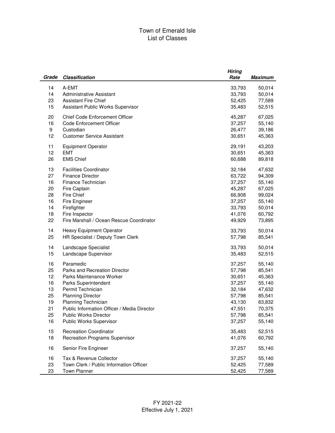#### Town of Emerald Isle List of Classes

|          |                                             | <b>Hiring</b> |                  |
|----------|---------------------------------------------|---------------|------------------|
| Grade    | <b>Classification</b>                       | Rate          | <b>Maximum</b>   |
|          |                                             |               |                  |
| 14       | A-EMT                                       | 33,793        | 50,014           |
| 14       | <b>Administrative Assistant</b>             | 33,793        | 50,014           |
| 23       | <b>Assistant Fire Chief</b>                 | 52,425        | 77,589           |
| 15       | Assistant Public Works Supervisor           | 35,483        | 52,515           |
| 20       | Chief Code Enforcement Officer              | 45,287        | 67,025           |
| 16       | <b>Code Enforcement Officer</b>             | 37,257        | 55,140           |
| 9        | Custodian                                   | 26,477        | 39,186           |
| 12       | <b>Customer Service Assistant</b>           | 30,651        | 45,363           |
|          |                                             |               |                  |
| 11       | <b>Equipment Operator</b>                   | 29,191        | 43,203           |
| 12       | <b>EMT</b>                                  | 30,651        | 45,363           |
| 26       | <b>EMS Chief</b>                            | 60,688        | 89,818           |
|          |                                             |               |                  |
| 13       | <b>Facilities Coordinator</b>               | 32,184        | 47,632           |
| 27       | <b>Finance Director</b>                     | 63,722        | 94,309           |
| 16       | Finance Technician                          | 37,257        | 55,140           |
| 20       | Fire Captain                                | 45,287        | 67,025           |
| 28       | <b>Fire Chief</b>                           | 66,908        | 99,024           |
| 16       | Fire Engineer                               | 37,257        | 55,140           |
| 14       | Firefighter                                 | 33,793        | 50,014           |
| 18       | Fire Inspector                              | 41,076        | 60,792           |
| 22       | Fire Marshall / Ocean Rescue Coordinator    | 49,929        | 73,895           |
| 14       | Heavy Equipment Operator                    | 33,793        | 50,014           |
| 25       | HR Specialist / Deputy Town Clerk           | 57,798        | 85,541           |
|          |                                             |               |                  |
| 14       | Landscape Specialist                        | 33,793        | 50,014           |
| 15       | Landscape Supervisor                        | 35,483        | 52,515           |
| 16       | Paramedic                                   | 37,257        | 55,140           |
| 25       | Parks and Recreation Director               | 57,798        | 85,541           |
| 12       | Parks Maintenance Worker                    | 30,651        |                  |
| 16       | Parks Superintendent                        | 37,257        | 45,363<br>55,140 |
|          | Permit Technician                           |               |                  |
| 13       |                                             | 32,184        | 47,632           |
| 25       | <b>Planning Director</b>                    | 57,798        | 85,541           |
| 19<br>21 | Planning Technician                         | 43,130        | 63,832           |
|          | Public Information Officer / Media Director | 47,551        | 70,375           |
| 25       | Public Works Director                       | 57,798        | 85,541           |
| 16       | Public Works Supervisor                     | 37,257        | 55,140           |
| 15       | <b>Recreation Coordinator</b>               | 35,483        | 52,515           |
| 18       | <b>Recreation Programs Supervisor</b>       | 41,076        | 60,792           |
|          |                                             |               |                  |
| 16       | Senior Fire Engineer                        | 37,257        | 55,140           |
| 16       | Tax & Revenue Collector                     | 37,257        | 55,140           |
| 23       | Town Clerk / Public Information Officer     | 52,425        | 77,589           |
| 23       | <b>Town Planner</b>                         | 52,425        | 77,589           |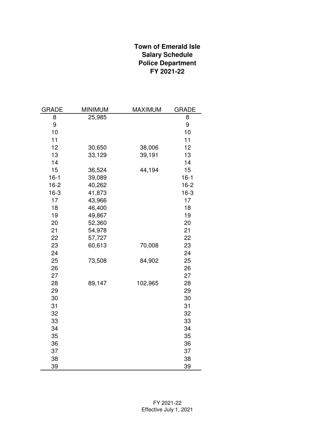### **Town of Emerald Isle Salary Schedule Police Department FY 2021-22**

| <b>GRADE</b> | <b>MINIMUM</b> | <b>MAXIMUM</b> | <b>GRADE</b> |
|--------------|----------------|----------------|--------------|
| 8            | 25,985         |                | 8            |
| 9            |                |                | 9            |
| 10           |                |                | 10           |
| 11           |                |                | 11           |
| 12           | 30,650         | 38,006         | 12           |
| 13           | 33,129         | 39,191         | 13           |
| 14           |                |                | 14           |
| 15           | 36,524         | 44,194         | 15           |
| $16 - 1$     | 39,089         |                | $16 - 1$     |
| $16 - 2$     | 40,262         |                | $16 - 2$     |
| $16-3$       | 41,873         |                | $16-3$       |
| 17           | 43,966         |                | 17           |
| 18           | 46,400         |                | 18           |
| 19           | 49,867         |                | 19           |
| 20           | 52,360         |                | 20           |
| 21           | 54,978         |                | 21           |
| 22           | 57,727         |                | 22           |
| 23           | 60,613         | 70,008         | 23           |
| 24           |                |                | 24           |
| 25           | 73,508         | 84,902         | 25           |
| 26           |                |                | 26           |
| 27           |                |                | 27           |
| 28           | 89,147         | 102,965        | 28           |
| 29           |                |                | 29           |
| 30           |                |                | 30           |
| 31           |                |                | 31           |
| 32           |                |                | 32           |
| 33           |                |                | 33           |
| 34           |                |                | 34           |
| 35           |                |                | 35           |
| 36           |                |                | 36           |
| 37           |                |                | 37           |
| 38           |                |                | 38           |
| 39           |                |                | 39           |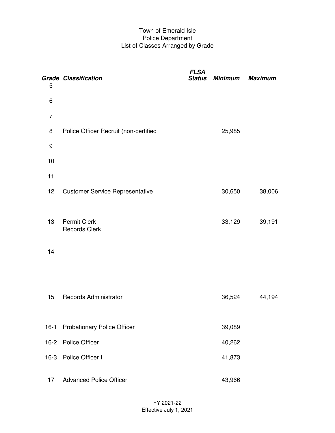#### Town of Emerald Isle Police Department List of Classes Arranged by Grade

|          | <b>Grade Classification</b>                 | <b>FLSA</b><br><b>Status</b> | <b>Minimum</b> | <b>Maximum</b> |
|----------|---------------------------------------------|------------------------------|----------------|----------------|
| 5        |                                             |                              |                |                |
| 6        |                                             |                              |                |                |
| 7        |                                             |                              |                |                |
| 8        | Police Officer Recruit (non-certified       |                              | 25,985         |                |
| 9        |                                             |                              |                |                |
| 10       |                                             |                              |                |                |
| 11       |                                             |                              |                |                |
| 12       | <b>Customer Service Representative</b>      |                              | 30,650         | 38,006         |
|          |                                             |                              |                |                |
| 13       | <b>Permit Clerk</b><br><b>Records Clerk</b> |                              | 33,129         | 39,191         |
|          |                                             |                              |                |                |
| 14       |                                             |                              |                |                |
|          |                                             |                              |                |                |
|          |                                             |                              |                |                |
| 15       | Records Administrator                       |                              | 36,524         | 44,194         |
|          |                                             |                              |                |                |
| $16 - 1$ | <b>Probationary Police Officer</b>          |                              | 39,089         |                |
|          | 16-2 Police Officer                         |                              | 40,262         |                |
|          | 16-3 Police Officer I                       |                              | 41,873         |                |
|          |                                             |                              |                |                |
| 17       | <b>Advanced Police Officer</b>              |                              | 43,966         |                |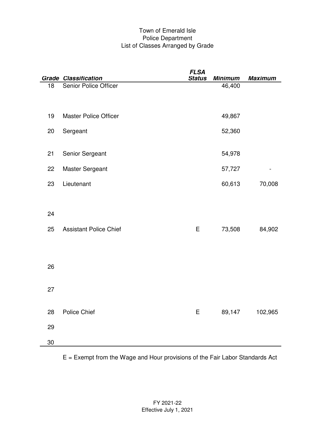#### Town of Emerald Isle Police Department List of Classes Arranged by Grade

|    | <b>Grade Classification</b>   | <b>FLSA</b><br><b>Status</b> | <b>Minimum</b> | <b>Maximum</b> |
|----|-------------------------------|------------------------------|----------------|----------------|
| 18 | <b>Senior Police Officer</b>  |                              | 46,400         |                |
| 19 | <b>Master Police Officer</b>  |                              | 49,867         |                |
| 20 | Sergeant                      |                              | 52,360         |                |
| 21 | Senior Sergeant               |                              | 54,978         |                |
| 22 | Master Sergeant               |                              | 57,727         |                |
| 23 | Lieutenant                    |                              | 60,613         | 70,008         |
|    |                               |                              |                |                |
| 24 |                               |                              |                |                |
| 25 | <b>Assistant Police Chief</b> | E                            | 73,508         | 84,902         |
|    |                               |                              |                |                |
| 26 |                               |                              |                |                |
| 27 |                               |                              |                |                |
|    |                               |                              |                |                |
| 28 | Police Chief                  | E                            | 89,147         | 102,965        |
| 29 |                               |                              |                |                |
| 30 |                               |                              |                |                |

E = Exempt from the Wage and Hour provisions of the Fair Labor Standards Act